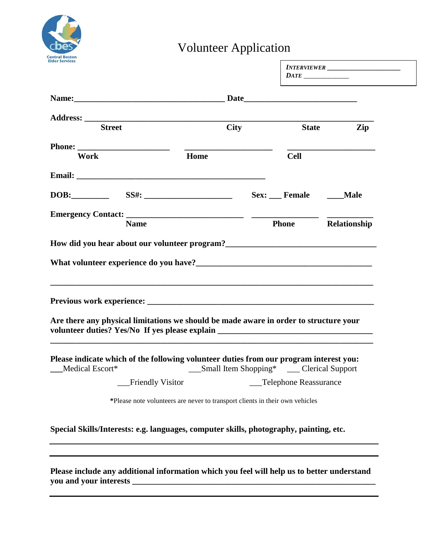

## Volunteer Application

|                 |                                                                                                                                                                                                                                                                                                                           |                       | INTERVIEWER                    |
|-----------------|---------------------------------------------------------------------------------------------------------------------------------------------------------------------------------------------------------------------------------------------------------------------------------------------------------------------------|-----------------------|--------------------------------|
|                 |                                                                                                                                                                                                                                                                                                                           |                       |                                |
|                 |                                                                                                                                                                                                                                                                                                                           |                       |                                |
|                 |                                                                                                                                                                                                                                                                                                                           |                       |                                |
| <b>Street</b>   | City                                                                                                                                                                                                                                                                                                                      |                       | <b>State</b><br>$\mathbf{Zip}$ |
| Work            | Home                                                                                                                                                                                                                                                                                                                      | <b>Cell</b>           |                                |
|                 |                                                                                                                                                                                                                                                                                                                           |                       |                                |
|                 | DOB: SS#: SS#: SS#: Sex: Female Male                                                                                                                                                                                                                                                                                      |                       |                                |
|                 | Emergency Contact: The Contact of The Contact of The Contact of The Contact of The Contact of The Contact of The Contact of The Contact of The Contact of The Contact of The Contact of The Contact of The Contact of The Cont                                                                                            |                       |                                |
|                 | How did you hear about our volunteer program?<br><u>Letting and the contract of the set of the set of the set of the set of the set of the set of the set of the set of the set of the set of the set of the set of the set of the</u>                                                                                    |                       |                                |
|                 | ,我们也不会有什么。""我们的人,我们也不会有什么?""我们的人,我们也不会有什么?""我们的人,我们也不会有什么?""我们的人,我们也不会有什么?""我们的人                                                                                                                                                                                                                                          |                       |                                |
| Medical Escort* | Are there any physical limitations we should be made aware in order to structure your<br>volunteer duties? Yes/No If yes please explain __________________________________<br>Please indicate which of the following volunteer duties from our program interest you:<br>____Small Item Shopping* _______ Clerical Support |                       |                                |
|                 | <b>Friendly Visitor</b>                                                                                                                                                                                                                                                                                                   | Telephone Reassurance |                                |
|                 | *Please note volunteers are never to transport clients in their own vehicles                                                                                                                                                                                                                                              |                       |                                |
|                 | Special Skills/Interests: e.g. languages, computer skills, photography, painting, etc.                                                                                                                                                                                                                                    |                       |                                |